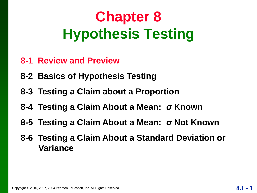## **Chapter 8 Hypothesis Testing**

- **8-1 Review and Preview**
- **8-2 Basics of Hypothesis Testing**
- **8-3 Testing a Claim about a Proportion**
- **8-4 Testing a Claim About a Mean:** *σ* **Known**
- **8-5 Testing a Claim About a Mean:** *σ* **Not Known**
- **8-6 Testing a Claim About a Standard Deviation or Variance**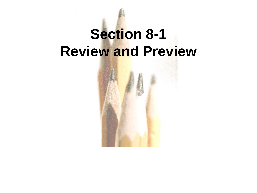## **Section 8-1 Review and Preview**

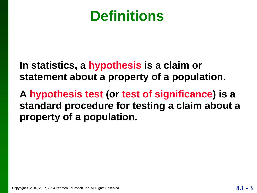#### **Definitions**

**In statistics, a hypothesis is a claim or statement about a property of a population.**

**A hypothesis test (or test of significance) is a standard procedure for testing a claim about a property of a population.**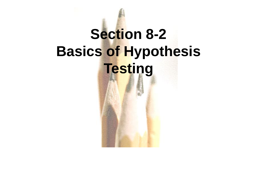# **Section 8-2 Basics of Hypothesis Testing**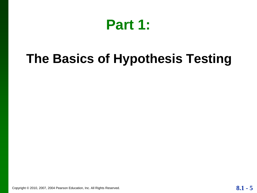

#### **The Basics of Hypothesis Testing**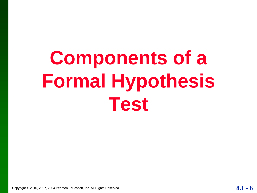# **Components of a Formal Hypothesis Test**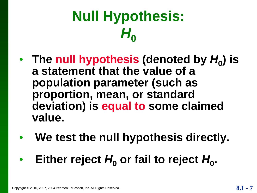## **Null Hypothesis:**  *H***0**

- **The null hypothesis (denoted by** *H***<sup>0</sup> ) is a statement that the value of a population parameter (such as proportion, mean, or standard deviation) is equal to some claimed value.**
- **We test the null hypothesis directly.**
- Either reject  $H_0$  or fail to reject  $H_0$ .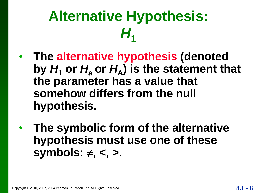## **Alternative Hypothesis:**  *H***1**

- **The alternative hypothesis (denoted**  by  $H_1$  or  $H_a$  or  $H_A$ ) is the statement that **the parameter has a value that somehow differs from the null hypothesis.**
- **The symbolic form of the alternative hypothesis must use one of these symbols: , <, >.**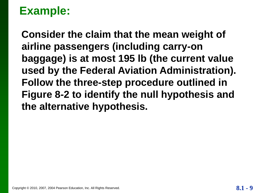**Consider the claim that the mean weight of airline passengers (including carry-on baggage) is at most 195 lb (the current value used by the Federal Aviation Administration). Follow the three-step procedure outlined in Figure 8-2 to identify the null hypothesis and the alternative hypothesis.**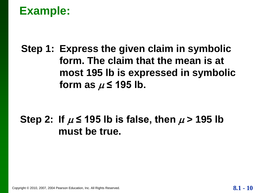**Step 1: Express the given claim in symbolic form. The claim that the mean is at most 195 lb is expressed in symbolic**  form as  $\mu$   $\leq$  195 lb.

#### Step 2: If  $\mu$   $\leq$  195 lb is false, then  $\mu$  > 195 lb **must be true.**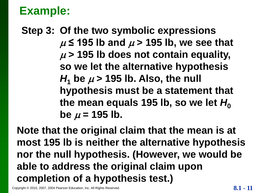#### **Step 3: Of the two symbolic expressions**  $\mu$  ≤ 195 lb and  $\mu$  > 195 lb, we see that  $\mu$  > 195 lb does not contain equality, **so we let the alternative hypothesis**   $H_1$  be  $\mu$  > 195 lb. Also, the null **hypothesis must be a statement that**  the mean equals 195 lb, so we let  $H_0$  $be \mu = 195 lb.$

**Note that the original claim that the mean is at most 195 lb is neither the alternative hypothesis nor the null hypothesis. (However, we would be able to address the original claim upon completion of a hypothesis test.)**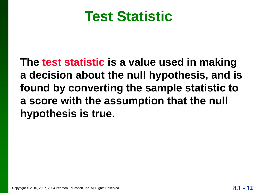#### **Test Statistic**

**The test statistic is a value used in making a decision about the null hypothesis, and is found by converting the sample statistic to a score with the assumption that the null hypothesis is true.**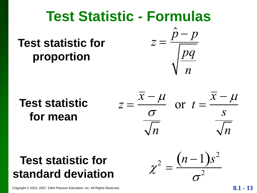#### **Test Statistic - Formulas**

#### **Test statistic for proportion**



#### **Test statistic for mean**

$$
z = \frac{\overline{x} - \mu}{\frac{\sigma}{\sqrt{n}}} \quad \text{or} \quad t = \frac{\overline{x} - \mu}{\frac{s}{\sqrt{n}}}
$$

 $(n-1)s^2$ 

 $\sigma$ 

2

 $\chi$ 

2

 $=$ 

# **Test statistic for**  Test statistic for  $z =$ <br>
proportion<br>
Test statistic  $z = \frac{\overline{x} - \mu}{\frac{\sigma}{\sqrt{n}}}$ <br>
Test statistic for  $\chi^2$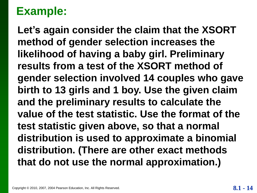**Let's again consider the claim that the XSORT method of gender selection increases the likelihood of having a baby girl. Preliminary results from a test of the XSORT method of gender selection involved 14 couples who gave birth to 13 girls and 1 boy. Use the given claim and the preliminary results to calculate the value of the test statistic. Use the format of the test statistic given above, so that a normal distribution is used to approximate a binomial distribution. (There are other exact methods that do not use the normal approximation.)**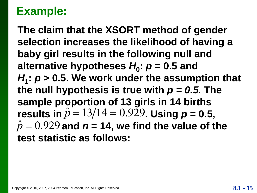**The claim that the XSORT method of gender selection increases the likelihood of having a baby girl results in the following null and alternative hypotheses** *H***<sup>0</sup> :** *p* **= 0.5 and**  $H_1$ :  $p > 0.5$ . We work under the assumption that the null hypothesis is true with  $p = 0.5$ . The **sample proportion of 13 girls in 14 births**  results in  $\hat{p} = 13/14 = 0.929$ . Using  $p = 0.5$ ,  $\hat{p} = 0.929$  and  $\vec{n} = 14$ , we find the value of the **test statistic as follows:**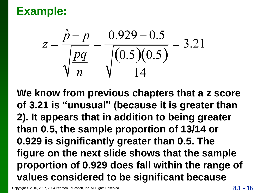

**We know from previous chapters that a z score of 3.21 is "unusual" (because it is greater than 2). It appears that in addition to being greater than 0.5, the sample proportion of 13/14 or 0.929 is significantly greater than 0.5. The figure on the next slide shows that the sample proportion of 0.929 does fall within the range of**   $z = \frac{P - P}{\sqrt{Pq}} = \frac{0.925 - 0.95}{\sqrt{(0.5)(0.5)}} = 3.21$ <br>We know from previous chapters that a z scotof 3.21 is "unusual" (because it is greater th<br>2). It appears that in addition to being greate<br>than 0.5, the sample proportion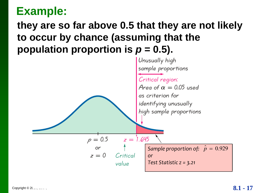#### **they are so far above 0.5 that they are not likely to occur by chance (assuming that the population proportion is**  $p = 0.5$ **).**

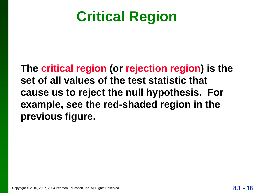## **Critical Region**

**The critical region (or rejection region) is the set of all values of the test statistic that cause us to reject the null hypothesis. For example, see the red-shaded region in the previous figure.**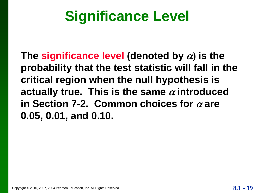## **Significance Level**

The significance level (denoted by  $\alpha$ ) is the **probability that the test statistic will fall in the critical region when the null hypothesis is**  actually true. This is the same  $\alpha$  introduced in Section 7-2. Common choices for  $\alpha$  are **0.05, 0.01, and 0.10.**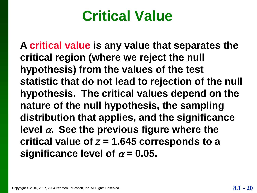## **Critical Value**

**A critical value is any value that separates the critical region (where we reject the null hypothesis) from the values of the test statistic that do not lead to rejection of the null hypothesis. The critical values depend on the nature of the null hypothesis, the sampling distribution that applies, and the significance**  level  $\alpha$ . See the previous figure where the **critical value of** *z* **= 1.645 corresponds to a**  significance level of  $\alpha$  = 0.05.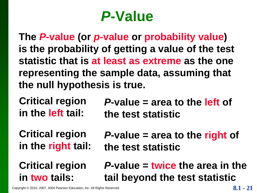## *P***-Value**

**The** *P***-value (or** *p***-value or probability value) is the probability of getting a value of the test statistic that is at least as extreme as the one representing the sample data, assuming that the null hypothesis is true.**

**Critical region in the left tail:**

*P***-value = area to the left of the test statistic**

**Critical region in the right tail:**

**Critical region in two tails:**

*P***-value = area to the right of the test statistic**

*P***-value = twice the area in the tail beyond the test statistic**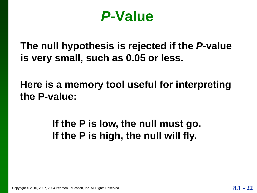#### *P***-Value**

**The null hypothesis is rejected if the** *P***-value is very small, such as 0.05 or less.**

**Here is a memory tool useful for interpreting the P-value:**

> **If the P is low, the null must go. If the P is high, the null will fly.**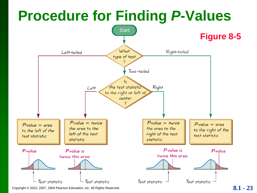## **Procedure for Finding** *P***-Values**

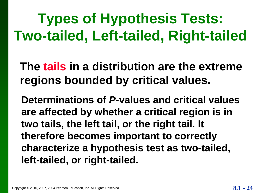## **Types of Hypothesis Tests: Two-tailed, Left-tailed, Right-tailed**

**The tails in a distribution are the extreme regions bounded by critical values.**

**Determinations of** *P***-values and critical values are affected by whether a critical region is in two tails, the left tail, or the right tail. It therefore becomes important to correctly characterize a hypothesis test as two-tailed, left-tailed, or right-tailed.**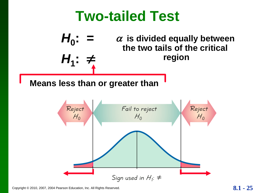#### **Two-tailed Test**



Sign used in  $H_1$ :  $\neq$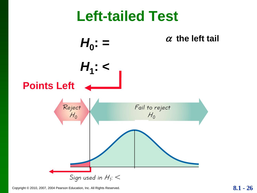#### **Left-tailed Test**

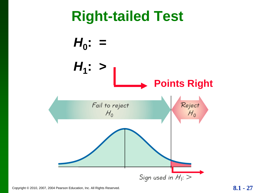## **Right-tailed Test**

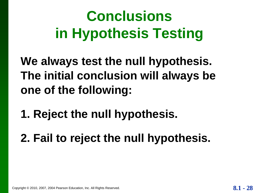## **Conclusions in Hypothesis Testing**

**We always test the null hypothesis. The initial conclusion will always be one of the following:**

- **1. Reject the null hypothesis.**
- **2. Fail to reject the null hypothesis.**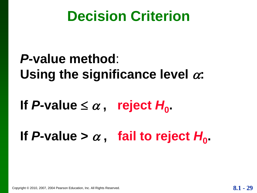## **Decision Criterion**

#### *P***-value method**: Using the significance level  $\alpha$ :

## If P-value  $\leq \alpha$ , reject  $H_0$ .

## If P-value  $> \alpha$ , fail to reject  $H_0$ .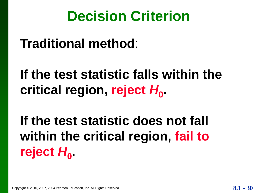## **Decision Criterion**

**Traditional method**:

**If the test statistic falls within the**  critical region, reject  $H_0$ .

**If the test statistic does not fall within the critical region, fail to**  reject  $H_0$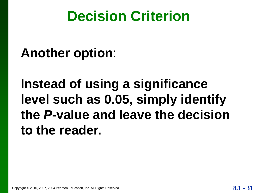## **Decision Criterion**

#### **Another option**:

**Instead of using a significance level such as 0.05, simply identify the** *P***-value and leave the decision to the reader.**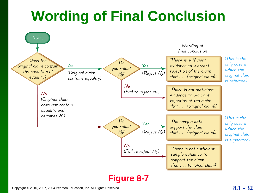## **Wording of Final Conclusion**

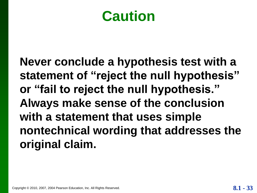#### **Caution**

**Never conclude a hypothesis test with a statement of "reject the null hypothesis" or "fail to reject the null hypothesis." Always make sense of the conclusion with a statement that uses simple nontechnical wording that addresses the original claim.**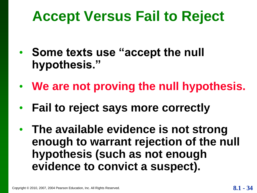## **Accept Versus Fail to Reject**

- **Some texts use "accept the null hypothesis."**
- **We are not proving the null hypothesis.**
- **Fail to reject says more correctly**
- **The available evidence is not strong enough to warrant rejection of the null hypothesis (such as not enough evidence to convict a suspect).**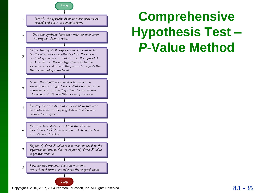

Identify the specific claim or hypothesis to be tested, and put it in symbolic form.

Give the symbolic form that must be true when the original claim is false.

 $\overline{\mathfrak{c}}$ 

 $\overline{2}$ 

 $\overline{\mathbf{3}}$ 

 $\overline{4}$ 

5

6

7

Of the two symbolic expressions obtained so far, let the alternative hypothesis  $H_1$  be the one not containing equality, so that  $H_1$  uses the symbol  $>$ or  $\leq$  or  $\neq$ . Let the null hypothesis  $H_0$  be the symbolic expression that the parameter equals the fixed value being considered.

Select the significance level  $\alpha$  based on the seriousness of a type 1 error. Make  $\alpha$  small if the consequences of rejecting a true  $H_0$  are severe. The values of 0.05 and 0.01 are very common.

Identify the statistic that is relevant to this test and determine its sampling distribution (such as normal, t, chi-square).

Find the test statistic and find the P-value (see Figure 8-6). Draw a graph and show the test statistic and P-value.

Reject  $H_0$  if the P-value is less than or equal to the significance level  $\alpha$ . Fail to reject  $H_0$  if the P-value is greater than  $\alpha$ .

Restate this previous decision in simple, 8 nontechnical terms, and address the original claim.

#### Stop

Copyright © 2010, 2007, 2004 Pearson Education, Inc. All Rights Reserved. **8.1 - 35**

## **Comprehensive Hypothesis Test –** *P***-Value Method**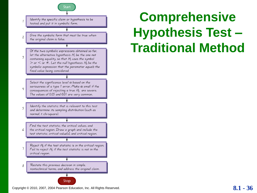

Identify the specific claim or hypothesis to be tested, and put it in symbolic form.

 $\overline{1}$ 

 $\overline{c}$ 

 $\overline{\mathbf{3}}$ 

 $\overline{4}$ 

5

6

Give the symbolic form that must be true when the original claim is false.

Of the two symbolic expressions obtained so far, let the alternative hypothesis  $H_1$  be the one not containing equality, so that  $H_1$  uses the symbol > or  $\leq$  or  $\neq$ . Let the null hypothesis  $H_0$  be the symbolic expression that the parameter equals the fixed value being considered.

Select the significance level  $\alpha$  based on the seriousness of a type 1 error. Make  $\alpha$  small if the consequences of rejecting a true  $H_0$  are severe. The values of 0.05 and 0.01 are very common.

Identify the statistic that is relevant to this test and determine its sampling distribution (such as normal, t, chi-square).

Find the test statistic, the critical values, and the critical region. Draw a graph and include the test statistic, critical value(s), and critical region.

Reject  $H_0$  if the test statistic is in the critical region.  $\overline{7}$ Fail to reject  $H_0$  if the test statistic is not in the critical region.

Restate this previous decision in simple, 8 nontechnical terms, and address the original claim.

#### Stop

Copyright © 2010, 2007, 2004 Pearson Education, Inc. All Rights Reserved. **8.1 - 36** 

## **Comprehensive Hypothesis Test – Traditional Method**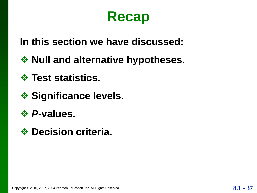#### **Recap**

**In this section we have discussed:**

- **❖ Null and alternative hypotheses.**
- **Test statistics.**
- **❖ Significance levels.**
- *P***-values.**
- **Decision criteria.**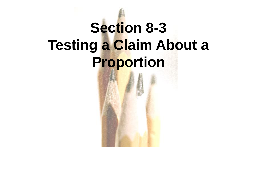## **Section 8-3 Testing a Claim About a Proportion**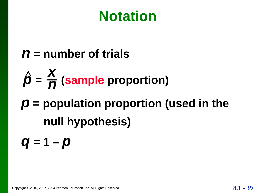## **Notation**

- *n* **= number of trials**
- $\hat{\boldsymbol{p}} = \frac{\boldsymbol{X}}{\boldsymbol{n}}$  (sample proportion) *n*
- *p* **= population proportion (used in the null hypothesis)**
- *q* **= 1 –** *p*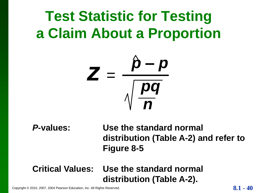## **Test Statistic for Testing a Claim About a Proportion**



*P***-values: Use the standard normal distribution (Table A-2) and refer to Figure 8-5**

#### **Critical Values: Use the standard normal distribution (Table A-2).**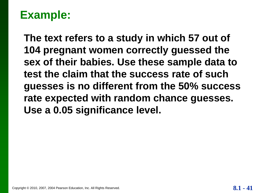**The text refers to a study in which 57 out of 104 pregnant women correctly guessed the sex of their babies. Use these sample data to test the claim that the success rate of such guesses is no different from the 50% success rate expected with random chance guesses. Use a 0.05 significance level.**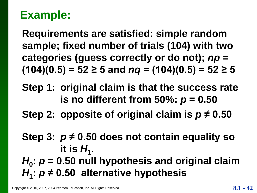**Requirements are satisfied: simple random sample; fixed number of trials (104) with two categories (guess correctly or do not);** *np* **=**   $(104)(0.5) = 52 \ge 5$  and  $nq = (104)(0.5) = 52 \ge 5$ 

- **Step 1: original claim is that the success rate is no different from 50%:**  $p = 0.50$
- **Step 2: opposite of original claim is** *p* **≠ 0.50**
- **Step 3:** *p* **≠ 0.50 does not contain equality so**  it is  $H_1$ .
- *H***0 :** *p* **= 0.50 null hypothesis and original claim** *H***1 :** *p* **≠ 0.50 alternative hypothesis**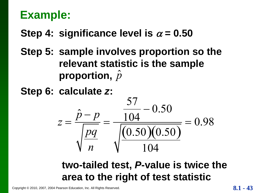#### **Step 4: significance level is**  $\alpha = 0.50$

**Step 5: sample involves proportion so the relevant statistic is the sample proportion,**  *p* ˆ

**Step 6: calculate** *z***:**



#### **two-tailed test,** *P***-value is twice the area to the right of test statistic**